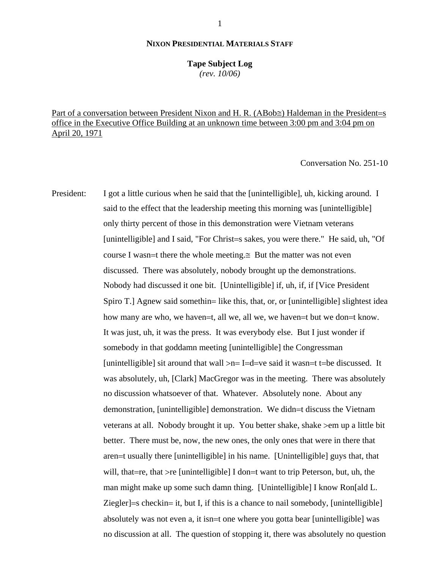### **NIXON PRESIDENTIAL MATERIALS STAFF**

#### **Tape Subject Log**

*(rev. 10/06)*

Part of a conversation between President Nixon and H. R. (ΑBob≅) Haldeman in the President=s office in the Executive Office Building at an unknown time between 3:00 pm and 3:04 pm on April 20, 1971

Conversation No. 251-10

President: I got a little curious when he said that the [unintelligible], uh, kicking around. I said to the effect that the leadership meeting this morning was [unintelligible] only thirty percent of those in this demonstration were Vietnam veterans [unintelligible] and I said, "For Christ=s sakes, you were there." He said, uh, "Of course I wasn=t there the whole meeting. $\cong$  But the matter was not even discussed. There was absolutely, nobody brought up the demonstrations. Nobody had discussed it one bit. [Unintelligible] if, uh, if, if [Vice President Spiro T.] Agnew said somethin= like this, that, or, or [unintelligible] slightest idea how many are who, we haven=t, all we, all we, we haven=t but we don=t know. It was just, uh, it was the press. It was everybody else. But I just wonder if somebody in that goddamn meeting [unintelligible] the Congressman [unintelligible] sit around that wall  $>n=$  I=d=ve said it wasn=t t=be discussed. It was absolutely, uh, [Clark] MacGregor was in the meeting. There was absolutely no discussion whatsoever of that. Whatever. Absolutely none. About any demonstration, [unintelligible] demonstration. We didn=t discuss the Vietnam veterans at all. Nobody brought it up. You better shake, shake >em up a little bit better. There must be, now, the new ones, the only ones that were in there that aren=t usually there [unintelligible] in his name. [Unintelligible] guys that, that will, that=re, that >re [unintelligible] I don=t want to trip Peterson, but, uh, the man might make up some such damn thing. [Unintelligible] I know Ron[ald L. Ziegler]=s checkin= it, but I, if this is a chance to nail somebody, [unintelligible] absolutely was not even a, it isn=t one where you gotta bear [unintelligible] was no discussion at all. The question of stopping it, there was absolutely no question